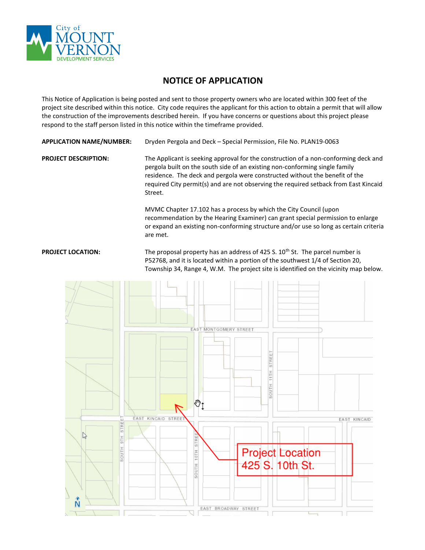

## **NOTICE OF APPLICATION**

This Notice of Application is being posted and sent to those property owners who are located within 300 feet of the project site described within this notice. City code requires the applicant for this action to obtain a permit that will allow the construction of the improvements described herein. If you have concerns or questions about this project please respond to the staff person listed in this notice within the timeframe provided.

| <b>APPLICATION NAME/NUMBER:</b> | Dryden Pergola and Deck - Special Permission, File No. PLAN19-0063 |
|---------------------------------|--------------------------------------------------------------------|
|                                 |                                                                    |

**PROJECT DESCRIPTION:** The Applicant is seeking approval for the construction of a non-conforming deck and pergola built on the south side of an existing non-conforming single family residence. The deck and pergola were constructed without the benefit of the required City permit(s) and are not observing the required setback from East Kincaid Street.

> MVMC Chapter 17.102 has a process by which the City Council (upon recommendation by the Hearing Examiner) can grant special permission to enlarge or expand an existing non-conforming structure and/or use so long as certain criteria are met.

## **PROJECT LOCATION:** The proposal property has an address of 425 S. 10<sup>th</sup> St. The parcel number is P52768, and it is located within a portion of the southwest 1/4 of Section 20, Township 34, Range 4, W.M. The project site is identified on the vicinity map below.